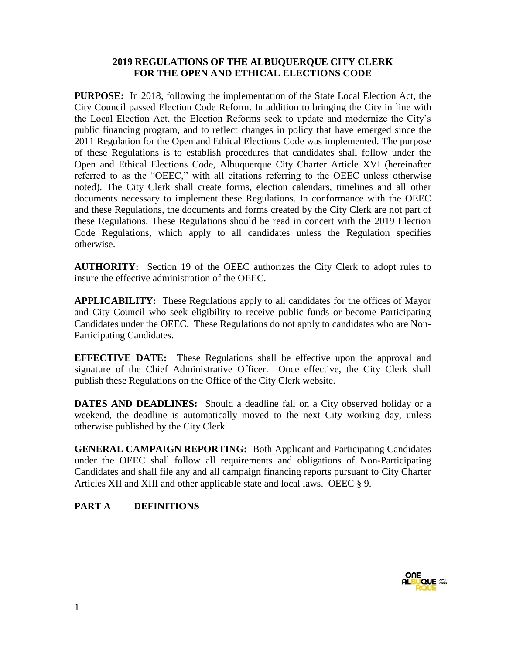#### **2019 REGULATIONS OF THE ALBUQUERQUE CITY CLERK FOR THE OPEN AND ETHICAL ELECTIONS CODE**

**PURPOSE:** In 2018, following the implementation of the State Local Election Act, the City Council passed Election Code Reform. In addition to bringing the City in line with the Local Election Act, the Election Reforms seek to update and modernize the City's public financing program, and to reflect changes in policy that have emerged since the 2011 Regulation for the Open and Ethical Elections Code was implemented. The purpose of these Regulations is to establish procedures that candidates shall follow under the Open and Ethical Elections Code, Albuquerque City Charter Article XVI (hereinafter referred to as the "OEEC," with all citations referring to the OEEC unless otherwise noted). The City Clerk shall create forms, election calendars, timelines and all other documents necessary to implement these Regulations. In conformance with the OEEC and these Regulations, the documents and forms created by the City Clerk are not part of these Regulations. These Regulations should be read in concert with the 2019 Election Code Regulations, which apply to all candidates unless the Regulation specifies otherwise.

**AUTHORITY:** Section 19 of the OEEC authorizes the City Clerk to adopt rules to insure the effective administration of the OEEC.

**APPLICABILITY:** These Regulations apply to all candidates for the offices of Mayor and City Council who seek eligibility to receive public funds or become Participating Candidates under the OEEC. These Regulations do not apply to candidates who are Non-Participating Candidates.

**EFFECTIVE DATE:** These Regulations shall be effective upon the approval and signature of the Chief Administrative Officer. Once effective, the City Clerk shall publish these Regulations on the Office of the City Clerk website.

**DATES AND DEADLINES:** Should a deadline fall on a City observed holiday or a weekend, the deadline is automatically moved to the next City working day, unless otherwise published by the City Clerk.

**GENERAL CAMPAIGN REPORTING:** Both Applicant and Participating Candidates under the OEEC shall follow all requirements and obligations of Non-Participating Candidates and shall file any and all campaign financing reports pursuant to City Charter Articles XII and XIII and other applicable state and local laws. OEEC § 9.

# **PART A DEFINITIONS**

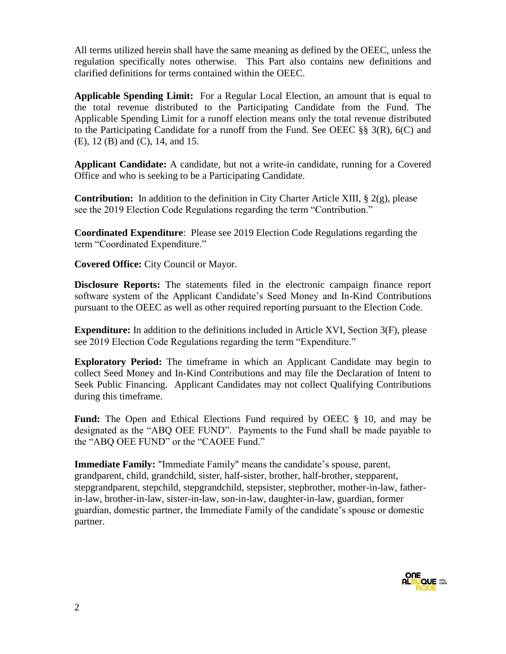All terms utilized herein shall have the same meaning as defined by the OEEC, unless the regulation specifically notes otherwise. This Part also contains new definitions and clarified definitions for terms contained within the OEEC.

**Applicable Spending Limit:** For a Regular Local Election, an amount that is equal to the total revenue distributed to the Participating Candidate from the Fund. The Applicable Spending Limit for a runoff election means only the total revenue distributed to the Participating Candidate for a runoff from the Fund. See OEEC §§ 3(R),  $6(C)$  and (E), 12 (B) and (C), 14, and 15.

**Applicant Candidate:** A candidate, but not a write-in candidate, running for a Covered Office and who is seeking to be a Participating Candidate.

**Contribution:** In addition to the definition in City Charter Article XIII, § 2(g), please see the 2019 Election Code Regulations regarding the term "Contribution."

**Coordinated Expenditure**: Please see 2019 Election Code Regulations regarding the term "Coordinated Expenditure."

**Covered Office:** City Council or Mayor.

**Disclosure Reports:** The statements filed in the electronic campaign finance report software system of the Applicant Candidate's Seed Money and In-Kind Contributions pursuant to the OEEC as well as other required reporting pursuant to the Election Code.

**Expenditure:** In addition to the definitions included in Article XVI, Section 3(F), please see 2019 Election Code Regulations regarding the term "Expenditure."

**Exploratory Period:** The timeframe in which an Applicant Candidate may begin to collect Seed Money and In-Kind Contributions and may file the Declaration of Intent to Seek Public Financing. Applicant Candidates may not collect Qualifying Contributions during this timeframe.

**Fund:** The Open and Ethical Elections Fund required by OEEC § 10, and may be designated as the "ABQ OEE FUND". Payments to the Fund shall be made payable to the "ABQ OEE FUND" or the "CAOEE Fund."

**Immediate Family:** "Immediate Family" means the candidate's spouse, parent, grandparent, child, grandchild, sister, half-sister, brother, half-brother, stepparent, stepgrandparent, stepchild, stepgrandchild, stepsister, stepbrother, mother-in-law, fatherin-law, brother-in-law, sister-in-law, son-in-law, daughter-in-law, guardian, former guardian, domestic partner, the Immediate Family of the candidate's spouse or domestic partner.

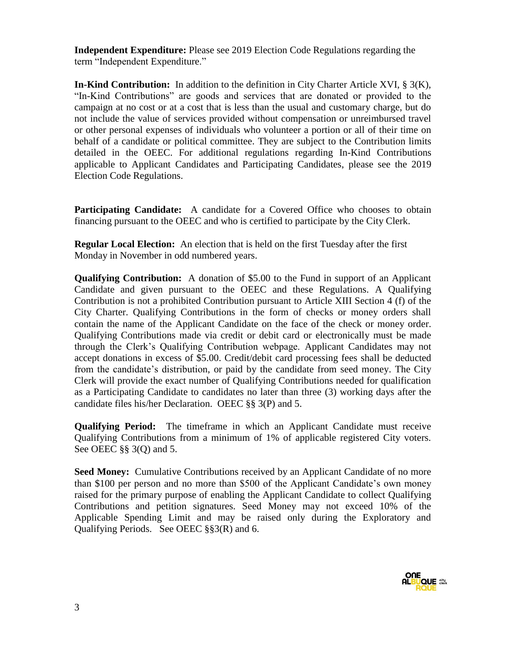**Independent Expenditure:** Please see 2019 Election Code Regulations regarding the term "Independent Expenditure."

**In-Kind Contribution:** In addition to the definition in City Charter Article XVI, § 3(K), "In-Kind Contributions" are goods and services that are donated or provided to the campaign at no cost or at a cost that is less than the usual and customary charge, but do not include the value of services provided without compensation or unreimbursed travel or other personal expenses of individuals who volunteer a portion or all of their time on behalf of a candidate or political committee. They are subject to the Contribution limits detailed in the OEEC. For additional regulations regarding In-Kind Contributions applicable to Applicant Candidates and Participating Candidates, please see the 2019 Election Code Regulations.

**Participating Candidate:** A candidate for a Covered Office who chooses to obtain financing pursuant to the OEEC and who is certified to participate by the City Clerk.

**Regular Local Election:** An election that is held on the first Tuesday after the first Monday in November in odd numbered years.

**Qualifying Contribution:** A donation of \$5.00 to the Fund in support of an Applicant Candidate and given pursuant to the OEEC and these Regulations. A Qualifying Contribution is not a prohibited Contribution pursuant to Article XIII Section 4 (f) of the City Charter. Qualifying Contributions in the form of checks or money orders shall contain the name of the Applicant Candidate on the face of the check or money order. Qualifying Contributions made via credit or debit card or electronically must be made through the Clerk's Qualifying Contribution webpage. Applicant Candidates may not accept donations in excess of \$5.00. Credit/debit card processing fees shall be deducted from the candidate's distribution, or paid by the candidate from seed money. The City Clerk will provide the exact number of Qualifying Contributions needed for qualification as a Participating Candidate to candidates no later than three (3) working days after the candidate files his/her Declaration. OEEC §§ 3(P) and 5.

**Qualifying Period:** The timeframe in which an Applicant Candidate must receive Qualifying Contributions from a minimum of 1% of applicable registered City voters. See OEEC §§ 3(Q) and 5.

**Seed Money:** Cumulative Contributions received by an Applicant Candidate of no more than \$100 per person and no more than \$500 of the Applicant Candidate's own money raised for the primary purpose of enabling the Applicant Candidate to collect Qualifying Contributions and petition signatures. Seed Money may not exceed 10% of the Applicable Spending Limit and may be raised only during the Exploratory and Qualifying Periods. See OEEC §§3(R) and 6.

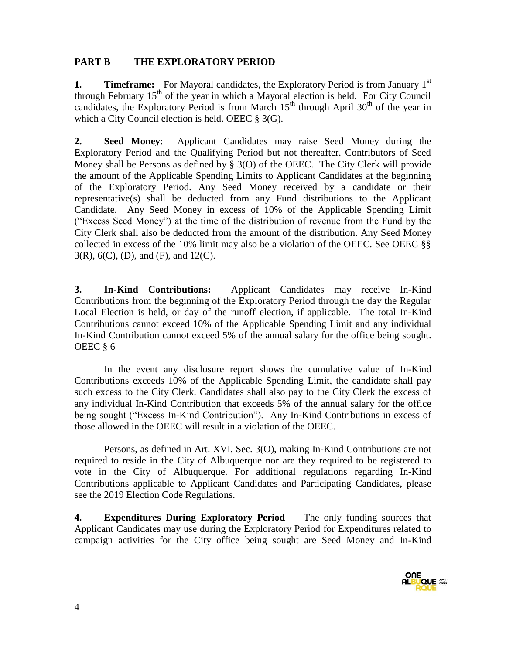### **PART B THE EXPLORATORY PERIOD**

**1. Timeframe:** For Mayoral candidates, the Exploratory Period is from January 1<sup>st</sup> through February  $15<sup>th</sup>$  of the year in which a Mayoral election is held. For City Council candidates, the Exploratory Period is from March  $15<sup>th</sup>$  through April 30<sup>th</sup> of the year in which a City Council election is held. OEEC § 3(G).

**2. Seed Money**: Applicant Candidates may raise Seed Money during the Exploratory Period and the Qualifying Period but not thereafter. Contributors of Seed Money shall be Persons as defined by  $\S$  3(O) of the OEEC. The City Clerk will provide the amount of the Applicable Spending Limits to Applicant Candidates at the beginning of the Exploratory Period. Any Seed Money received by a candidate or their representative(s) shall be deducted from any Fund distributions to the Applicant Candidate. Any Seed Money in excess of 10% of the Applicable Spending Limit ("Excess Seed Money") at the time of the distribution of revenue from the Fund by the City Clerk shall also be deducted from the amount of the distribution. Any Seed Money collected in excess of the 10% limit may also be a violation of the OEEC. See OEEC §§ 3(R), 6(C), (D), and (F), and 12(C).

**3. In-Kind Contributions:** Applicant Candidates may receive In-Kind Contributions from the beginning of the Exploratory Period through the day the Regular Local Election is held, or day of the runoff election, if applicable. The total In-Kind Contributions cannot exceed 10% of the Applicable Spending Limit and any individual In-Kind Contribution cannot exceed 5% of the annual salary for the office being sought. OEEC § 6

In the event any disclosure report shows the cumulative value of In-Kind Contributions exceeds 10% of the Applicable Spending Limit, the candidate shall pay such excess to the City Clerk. Candidates shall also pay to the City Clerk the excess of any individual In-Kind Contribution that exceeds 5% of the annual salary for the office being sought ("Excess In-Kind Contribution"). Any In-Kind Contributions in excess of those allowed in the OEEC will result in a violation of the OEEC.

Persons, as defined in Art. XVI, Sec. 3(O), making In-Kind Contributions are not required to reside in the City of Albuquerque nor are they required to be registered to vote in the City of Albuquerque. For additional regulations regarding In-Kind Contributions applicable to Applicant Candidates and Participating Candidates, please see the 2019 Election Code Regulations.

**4. Expenditures During Exploratory Period** The only funding sources that Applicant Candidates may use during the Exploratory Period for Expenditures related to campaign activities for the City office being sought are Seed Money and In-Kind

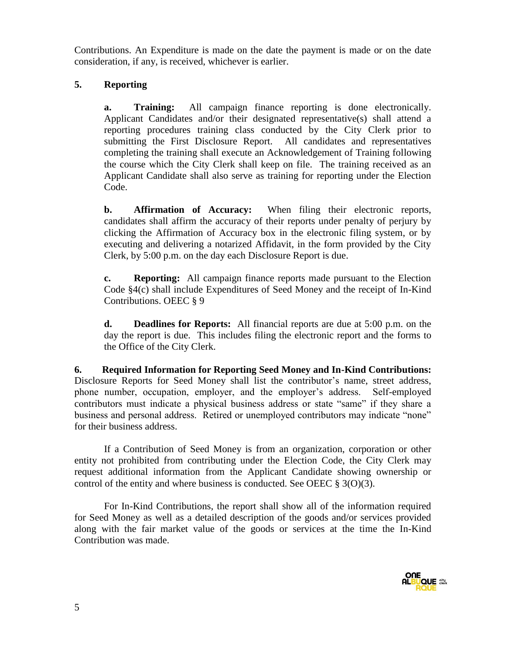Contributions. An Expenditure is made on the date the payment is made or on the date consideration, if any, is received, whichever is earlier.

# **5. Reporting**

**a. Training:** All campaign finance reporting is done electronically. Applicant Candidates and/or their designated representative(s) shall attend a reporting procedures training class conducted by the City Clerk prior to submitting the First Disclosure Report. All candidates and representatives completing the training shall execute an Acknowledgement of Training following the course which the City Clerk shall keep on file. The training received as an Applicant Candidate shall also serve as training for reporting under the Election Code.

**b. Affirmation of Accuracy:** When filing their electronic reports, candidates shall affirm the accuracy of their reports under penalty of perjury by clicking the Affirmation of Accuracy box in the electronic filing system, or by executing and delivering a notarized Affidavit, in the form provided by the City Clerk, by 5:00 p.m. on the day each Disclosure Report is due.

**c. Reporting:** All campaign finance reports made pursuant to the Election Code §4(c) shall include Expenditures of Seed Money and the receipt of In-Kind Contributions. OEEC § 9

**d. Deadlines for Reports:** All financial reports are due at 5:00 p.m. on the day the report is due. This includes filing the electronic report and the forms to the Office of the City Clerk.

**6. Required Information for Reporting Seed Money and In-Kind Contributions:**  Disclosure Reports for Seed Money shall list the contributor's name, street address, phone number, occupation, employer, and the employer's address. Self-employed contributors must indicate a physical business address or state "same" if they share a business and personal address. Retired or unemployed contributors may indicate "none" for their business address.

If a Contribution of Seed Money is from an organization, corporation or other entity not prohibited from contributing under the Election Code, the City Clerk may request additional information from the Applicant Candidate showing ownership or control of the entity and where business is conducted. See OEEC  $\S 3(0)(3)$ .

For In-Kind Contributions, the report shall show all of the information required for Seed Money as well as a detailed description of the goods and/or services provided along with the fair market value of the goods or services at the time the In-Kind Contribution was made.

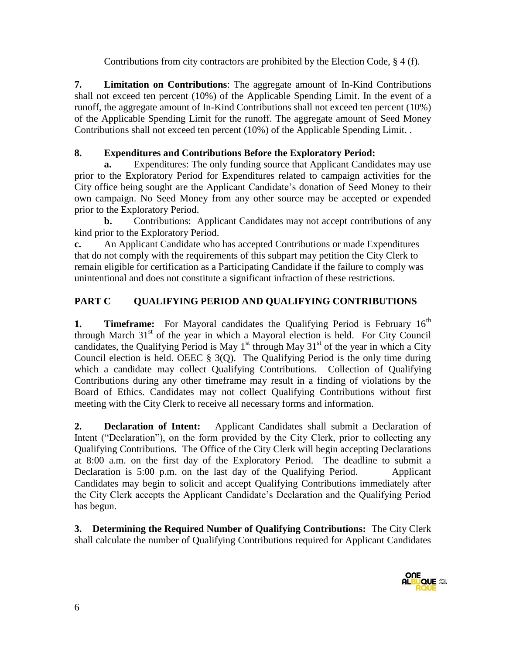Contributions from city contractors are prohibited by the Election Code, § 4 (f).

**7. Limitation on Contributions**: The aggregate amount of In-Kind Contributions shall not exceed ten percent (10%) of the Applicable Spending Limit. In the event of a runoff, the aggregate amount of In-Kind Contributions shall not exceed ten percent (10%) of the Applicable Spending Limit for the runoff. The aggregate amount of Seed Money Contributions shall not exceed ten percent (10%) of the Applicable Spending Limit. .

# **8. Expenditures and Contributions Before the Exploratory Period:**

**a.** Expenditures: The only funding source that Applicant Candidates may use prior to the Exploratory Period for Expenditures related to campaign activities for the City office being sought are the Applicant Candidate's donation of Seed Money to their own campaign. No Seed Money from any other source may be accepted or expended prior to the Exploratory Period.

**b.** Contributions: Applicant Candidates may not accept contributions of any kind prior to the Exploratory Period.

**c.** An Applicant Candidate who has accepted Contributions or made Expenditures that do not comply with the requirements of this subpart may petition the City Clerk to remain eligible for certification as a Participating Candidate if the failure to comply was unintentional and does not constitute a significant infraction of these restrictions.

# **PART C QUALIFYING PERIOD AND QUALIFYING CONTRIBUTIONS**

**1. Timeframe:** For Mayoral candidates the Qualifying Period is February 16<sup>th</sup> through March  $31<sup>st</sup>$  of the year in which a Mayoral election is held. For City Council candidates, the Qualifying Period is May  $1<sup>st</sup>$  through May  $31<sup>st</sup>$  of the year in which a City Council election is held. OEEC  $\S$  3(Q). The Qualifying Period is the only time during which a candidate may collect Qualifying Contributions. Collection of Qualifying Contributions during any other timeframe may result in a finding of violations by the Board of Ethics. Candidates may not collect Qualifying Contributions without first meeting with the City Clerk to receive all necessary forms and information.

**2. Declaration of Intent:** Applicant Candidates shall submit a Declaration of Intent ("Declaration"), on the form provided by the City Clerk, prior to collecting any Qualifying Contributions. The Office of the City Clerk will begin accepting Declarations at 8:00 a.m. on the first day of the Exploratory Period. The deadline to submit a Declaration is 5:00 p.m. on the last day of the Qualifying Period. Applicant Candidates may begin to solicit and accept Qualifying Contributions immediately after the City Clerk accepts the Applicant Candidate's Declaration and the Qualifying Period has begun.

**3. Determining the Required Number of Qualifying Contributions:** The City Clerk shall calculate the number of Qualifying Contributions required for Applicant Candidates

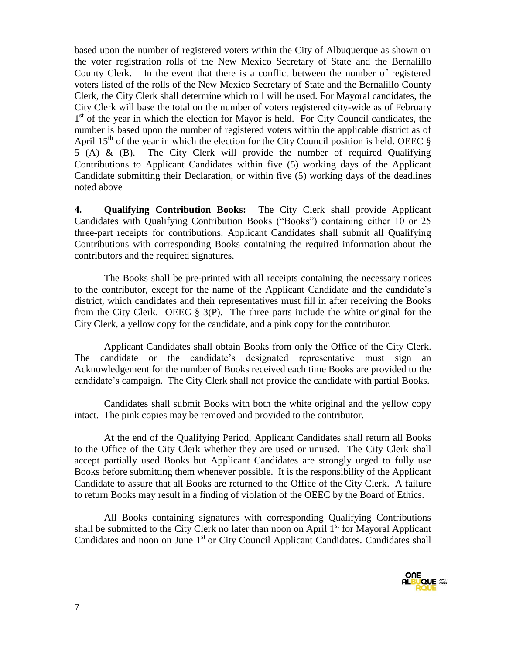based upon the number of registered voters within the City of Albuquerque as shown on the voter registration rolls of the New Mexico Secretary of State and the Bernalillo County Clerk. In the event that there is a conflict between the number of registered voters listed of the rolls of the New Mexico Secretary of State and the Bernalillo County Clerk, the City Clerk shall determine which roll will be used. For Mayoral candidates, the City Clerk will base the total on the number of voters registered city-wide as of February 1<sup>st</sup> of the year in which the election for Mayor is held. For City Council candidates, the number is based upon the number of registered voters within the applicable district as of April 15<sup>th</sup> of the year in which the election for the City Council position is held. OEEC  $\S$ 5 (A) & (B). The City Clerk will provide the number of required Qualifying Contributions to Applicant Candidates within five (5) working days of the Applicant Candidate submitting their Declaration, or within five (5) working days of the deadlines noted above

**4. Qualifying Contribution Books:** The City Clerk shall provide Applicant Candidates with Qualifying Contribution Books ("Books") containing either 10 or 25 three-part receipts for contributions. Applicant Candidates shall submit all Qualifying Contributions with corresponding Books containing the required information about the contributors and the required signatures.

The Books shall be pre-printed with all receipts containing the necessary notices to the contributor, except for the name of the Applicant Candidate and the candidate's district, which candidates and their representatives must fill in after receiving the Books from the City Clerk. OEEC § 3(P). The three parts include the white original for the City Clerk, a yellow copy for the candidate, and a pink copy for the contributor.

Applicant Candidates shall obtain Books from only the Office of the City Clerk. The candidate or the candidate's designated representative must sign an Acknowledgement for the number of Books received each time Books are provided to the candidate's campaign. The City Clerk shall not provide the candidate with partial Books.

Candidates shall submit Books with both the white original and the yellow copy intact. The pink copies may be removed and provided to the contributor.

At the end of the Qualifying Period, Applicant Candidates shall return all Books to the Office of the City Clerk whether they are used or unused. The City Clerk shall accept partially used Books but Applicant Candidates are strongly urged to fully use Books before submitting them whenever possible. It is the responsibility of the Applicant Candidate to assure that all Books are returned to the Office of the City Clerk. A failure to return Books may result in a finding of violation of the OEEC by the Board of Ethics.

All Books containing signatures with corresponding Qualifying Contributions shall be submitted to the City Clerk no later than noon on April  $1<sup>st</sup>$  for Mayoral Applicant Candidates and noon on June 1<sup>st</sup> or City Council Applicant Candidates. Candidates shall

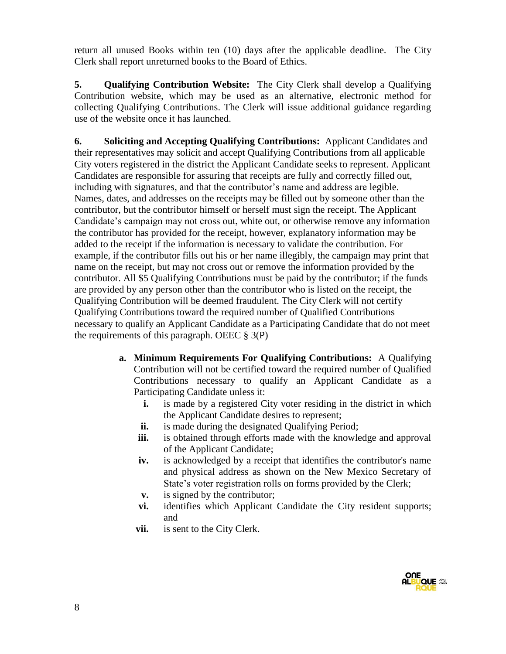return all unused Books within ten (10) days after the applicable deadline. The City Clerk shall report unreturned books to the Board of Ethics.

**5. Qualifying Contribution Website:** The City Clerk shall develop a Qualifying Contribution website, which may be used as an alternative, electronic method for collecting Qualifying Contributions. The Clerk will issue additional guidance regarding use of the website once it has launched.

**6. Soliciting and Accepting Qualifying Contributions:** Applicant Candidates and their representatives may solicit and accept Qualifying Contributions from all applicable City voters registered in the district the Applicant Candidate seeks to represent. Applicant Candidates are responsible for assuring that receipts are fully and correctly filled out, including with signatures, and that the contributor's name and address are legible. Names, dates, and addresses on the receipts may be filled out by someone other than the contributor, but the contributor himself or herself must sign the receipt. The Applicant Candidate's campaign may not cross out, white out, or otherwise remove any information the contributor has provided for the receipt, however, explanatory information may be added to the receipt if the information is necessary to validate the contribution. For example, if the contributor fills out his or her name illegibly, the campaign may print that name on the receipt, but may not cross out or remove the information provided by the contributor. All \$5 Qualifying Contributions must be paid by the contributor; if the funds are provided by any person other than the contributor who is listed on the receipt, the Qualifying Contribution will be deemed fraudulent. The City Clerk will not certify Qualifying Contributions toward the required number of Qualified Contributions necessary to qualify an Applicant Candidate as a Participating Candidate that do not meet the requirements of this paragraph. OEEC  $\S$  3(P)

- **a. Minimum Requirements For Qualifying Contributions:** A Qualifying Contribution will not be certified toward the required number of Qualified Contributions necessary to qualify an Applicant Candidate as a Participating Candidate unless it:
	- **i.** is made by a registered City voter residing in the district in which the Applicant Candidate desires to represent;
	- **ii.** is made during the designated Qualifying Period;
	- **iii.** is obtained through efforts made with the knowledge and approval of the Applicant Candidate;
	- **iv.** is acknowledged by a receipt that identifies the contributor's name and physical address as shown on the New Mexico Secretary of State's voter registration rolls on forms provided by the Clerk;
	- **v.** is signed by the contributor;
	- **vi.** identifies which Applicant Candidate the City resident supports; and
	- **vii.** is sent to the City Clerk.

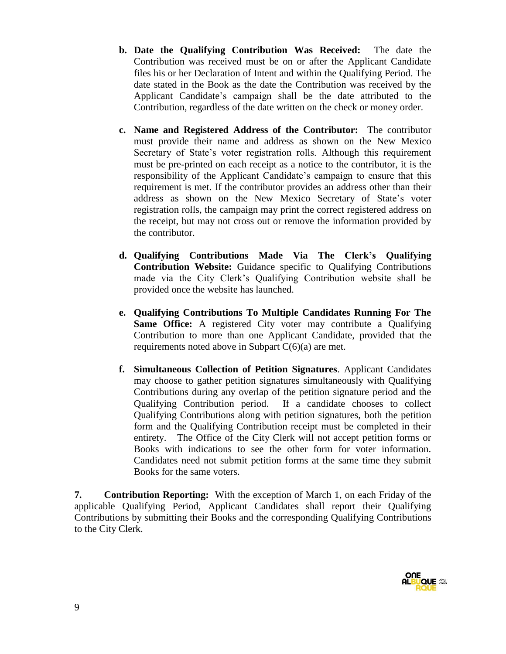- **b. Date the Qualifying Contribution Was Received:** The date the Contribution was received must be on or after the Applicant Candidate files his or her Declaration of Intent and within the Qualifying Period. The date stated in the Book as the date the Contribution was received by the Applicant Candidate's campaign shall be the date attributed to the Contribution, regardless of the date written on the check or money order.
- **c. Name and Registered Address of the Contributor:** The contributor must provide their name and address as shown on the New Mexico Secretary of State's voter registration rolls. Although this requirement must be pre-printed on each receipt as a notice to the contributor, it is the responsibility of the Applicant Candidate's campaign to ensure that this requirement is met. If the contributor provides an address other than their address as shown on the New Mexico Secretary of State's voter registration rolls, the campaign may print the correct registered address on the receipt, but may not cross out or remove the information provided by the contributor.
- **d. Qualifying Contributions Made Via The Clerk's Qualifying Contribution Website:** Guidance specific to Qualifying Contributions made via the City Clerk's Qualifying Contribution website shall be provided once the website has launched.
- **e. Qualifying Contributions To Multiple Candidates Running For The Same Office:** A registered City voter may contribute a Qualifying Contribution to more than one Applicant Candidate, provided that the requirements noted above in Subpart  $C(6)(a)$  are met.
- **f. Simultaneous Collection of Petition Signatures**. Applicant Candidates may choose to gather petition signatures simultaneously with Qualifying Contributions during any overlap of the petition signature period and the Qualifying Contribution period. If a candidate chooses to collect Qualifying Contributions along with petition signatures, both the petition form and the Qualifying Contribution receipt must be completed in their entirety. The Office of the City Clerk will not accept petition forms or Books with indications to see the other form for voter information. Candidates need not submit petition forms at the same time they submit Books for the same voters.

**7. Contribution Reporting:** With the exception of March 1, on each Friday of the applicable Qualifying Period, Applicant Candidates shall report their Qualifying Contributions by submitting their Books and the corresponding Qualifying Contributions to the City Clerk.

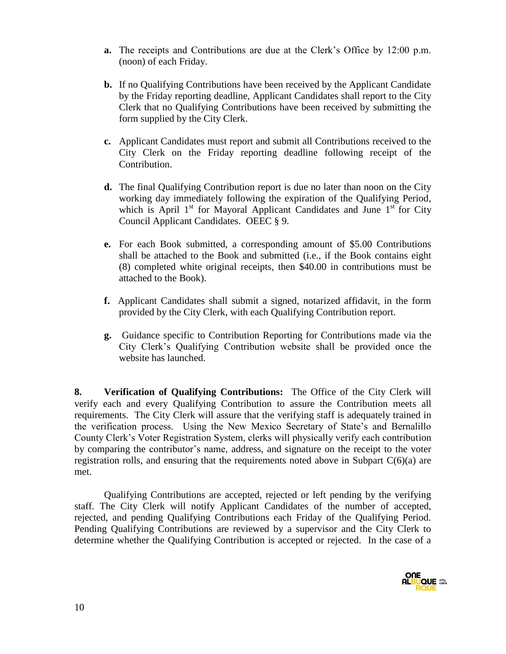- **a.** The receipts and Contributions are due at the Clerk's Office by 12:00 p.m. (noon) of each Friday.
- **b.** If no Qualifying Contributions have been received by the Applicant Candidate by the Friday reporting deadline, Applicant Candidates shall report to the City Clerk that no Qualifying Contributions have been received by submitting the form supplied by the City Clerk.
- **c.** Applicant Candidates must report and submit all Contributions received to the City Clerk on the Friday reporting deadline following receipt of the Contribution.
- **d.** The final Qualifying Contribution report is due no later than noon on the City working day immediately following the expiration of the Qualifying Period, which is April  $1<sup>st</sup>$  for Mayoral Applicant Candidates and June  $1<sup>st</sup>$  for City Council Applicant Candidates. OEEC § 9.
- **e.** For each Book submitted, a corresponding amount of \$5.00 Contributions shall be attached to the Book and submitted (i.e., if the Book contains eight (8) completed white original receipts, then \$40.00 in contributions must be attached to the Book).
- **f.** Applicant Candidates shall submit a signed, notarized affidavit, in the form provided by the City Clerk, with each Qualifying Contribution report.
- **g.** Guidance specific to Contribution Reporting for Contributions made via the City Clerk's Qualifying Contribution website shall be provided once the website has launched.

**8. Verification of Qualifying Contributions:** The Office of the City Clerk will verify each and every Qualifying Contribution to assure the Contribution meets all requirements. The City Clerk will assure that the verifying staff is adequately trained in the verification process. Using the New Mexico Secretary of State's and Bernalillo County Clerk's Voter Registration System, clerks will physically verify each contribution by comparing the contributor's name, address, and signature on the receipt to the voter registration rolls, and ensuring that the requirements noted above in Subpart  $C(6)(a)$  are met.

Qualifying Contributions are accepted, rejected or left pending by the verifying staff. The City Clerk will notify Applicant Candidates of the number of accepted, rejected, and pending Qualifying Contributions each Friday of the Qualifying Period. Pending Qualifying Contributions are reviewed by a supervisor and the City Clerk to determine whether the Qualifying Contribution is accepted or rejected. In the case of a

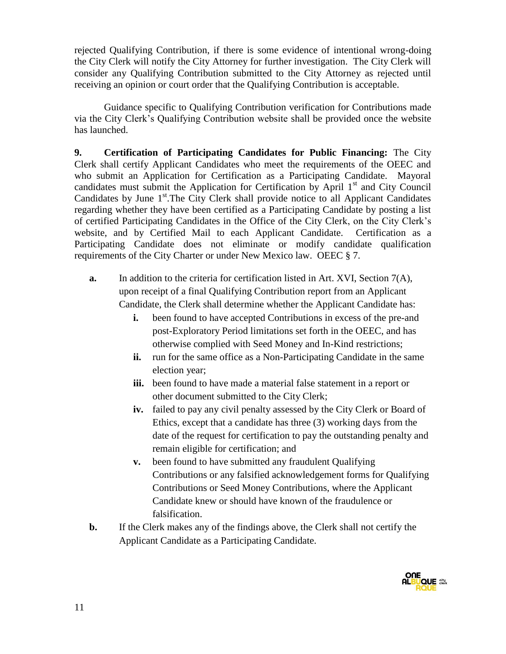rejected Qualifying Contribution, if there is some evidence of intentional wrong-doing the City Clerk will notify the City Attorney for further investigation. The City Clerk will consider any Qualifying Contribution submitted to the City Attorney as rejected until receiving an opinion or court order that the Qualifying Contribution is acceptable.

Guidance specific to Qualifying Contribution verification for Contributions made via the City Clerk's Qualifying Contribution website shall be provided once the website has launched.

**9. Certification of Participating Candidates for Public Financing:** The City Clerk shall certify Applicant Candidates who meet the requirements of the OEEC and who submit an Application for Certification as a Participating Candidate. Mayoral candidates must submit the Application for Certification by April  $1<sup>st</sup>$  and City Council Candidates by June 1<sup>st</sup>. The City Clerk shall provide notice to all Applicant Candidates regarding whether they have been certified as a Participating Candidate by posting a list of certified Participating Candidates in the Office of the City Clerk, on the City Clerk's website, and by Certified Mail to each Applicant Candidate. Certification as a Participating Candidate does not eliminate or modify candidate qualification requirements of the City Charter or under New Mexico law. OEEC § 7.

- **a.** In addition to the criteria for certification listed in Art. XVI, Section 7(A), upon receipt of a final Qualifying Contribution report from an Applicant Candidate, the Clerk shall determine whether the Applicant Candidate has:
	- **i.** been found to have accepted Contributions in excess of the pre-and post-Exploratory Period limitations set forth in the OEEC, and has otherwise complied with Seed Money and In-Kind restrictions;
	- **ii.** run for the same office as a Non-Participating Candidate in the same election year;
	- **iii.** been found to have made a material false statement in a report or other document submitted to the City Clerk;
	- **iv.** failed to pay any civil penalty assessed by the City Clerk or Board of Ethics, except that a candidate has three (3) working days from the date of the request for certification to pay the outstanding penalty and remain eligible for certification; and
	- **v.** been found to have submitted any fraudulent Qualifying Contributions or any falsified acknowledgement forms for Qualifying Contributions or Seed Money Contributions, where the Applicant Candidate knew or should have known of the fraudulence or falsification.
- **b.** If the Clerk makes any of the findings above, the Clerk shall not certify the Applicant Candidate as a Participating Candidate.

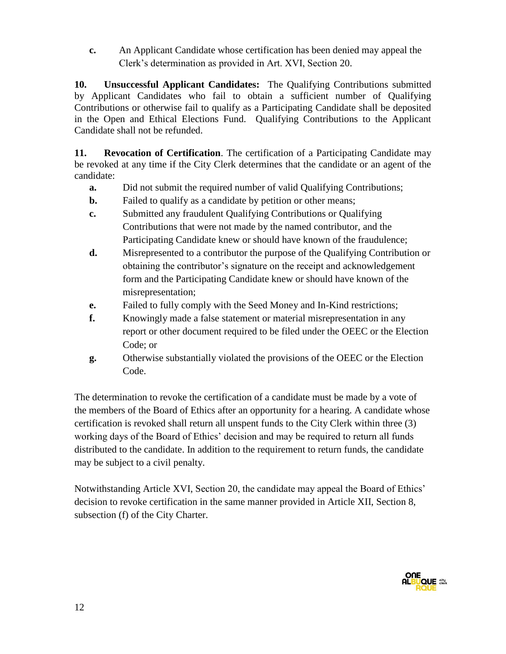**c.** An Applicant Candidate whose certification has been denied may appeal the Clerk's determination as provided in Art. XVI, Section 20.

**10. Unsuccessful Applicant Candidates:** The Qualifying Contributions submitted by Applicant Candidates who fail to obtain a sufficient number of Qualifying Contributions or otherwise fail to qualify as a Participating Candidate shall be deposited in the Open and Ethical Elections Fund. Qualifying Contributions to the Applicant Candidate shall not be refunded.

**11. Revocation of Certification**. The certification of a Participating Candidate may be revoked at any time if the City Clerk determines that the candidate or an agent of the candidate:

- **a.** Did not submit the required number of valid Qualifying Contributions;
- **b.** Failed to qualify as a candidate by petition or other means;
- **c.** Submitted any fraudulent Qualifying Contributions or Qualifying Contributions that were not made by the named contributor, and the Participating Candidate knew or should have known of the fraudulence;
- **d.** Misrepresented to a contributor the purpose of the Qualifying Contribution or obtaining the contributor's signature on the receipt and acknowledgement form and the Participating Candidate knew or should have known of the misrepresentation;
- **e.** Failed to fully comply with the Seed Money and In-Kind restrictions;
- **f.** Knowingly made a false statement or material misrepresentation in any report or other document required to be filed under the OEEC or the Election Code; or
- **g.** Otherwise substantially violated the provisions of the OEEC or the Election Code.

The determination to revoke the certification of a candidate must be made by a vote of the members of the Board of Ethics after an opportunity for a hearing. A candidate whose certification is revoked shall return all unspent funds to the City Clerk within three (3) working days of the Board of Ethics' decision and may be required to return all funds distributed to the candidate. In addition to the requirement to return funds, the candidate may be subject to a civil penalty.

Notwithstanding Article XVI, Section 20, the candidate may appeal the Board of Ethics' decision to revoke certification in the same manner provided in Article XII, Section 8, subsection (f) of the City Charter.

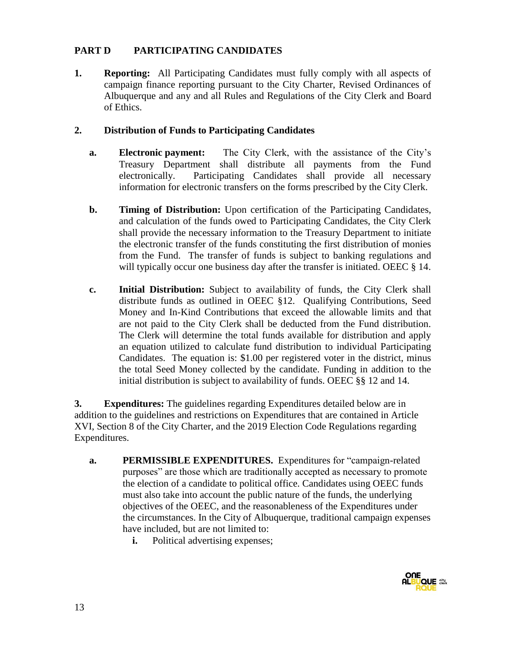### **PART D PARTICIPATING CANDIDATES**

**1. Reporting:** All Participating Candidates must fully comply with all aspects of campaign finance reporting pursuant to the City Charter, Revised Ordinances of Albuquerque and any and all Rules and Regulations of the City Clerk and Board of Ethics.

### **2. Distribution of Funds to Participating Candidates**

- **a. Electronic payment:** The City Clerk, with the assistance of the City's Treasury Department shall distribute all payments from the Fund electronically. Participating Candidates shall provide all necessary information for electronic transfers on the forms prescribed by the City Clerk.
- **b. Timing of Distribution:** Upon certification of the Participating Candidates, and calculation of the funds owed to Participating Candidates, the City Clerk shall provide the necessary information to the Treasury Department to initiate the electronic transfer of the funds constituting the first distribution of monies from the Fund. The transfer of funds is subject to banking regulations and will typically occur one business day after the transfer is initiated. OEEC § 14.
- **c. Initial Distribution:** Subject to availability of funds, the City Clerk shall distribute funds as outlined in OEEC §12. Qualifying Contributions, Seed Money and In-Kind Contributions that exceed the allowable limits and that are not paid to the City Clerk shall be deducted from the Fund distribution. The Clerk will determine the total funds available for distribution and apply an equation utilized to calculate fund distribution to individual Participating Candidates. The equation is: \$1.00 per registered voter in the district, minus the total Seed Money collected by the candidate. Funding in addition to the initial distribution is subject to availability of funds. OEEC §§ 12 and 14.

**3. Expenditures:** The guidelines regarding Expenditures detailed below are in addition to the guidelines and restrictions on Expenditures that are contained in Article XVI, Section 8 of the City Charter, and the 2019 Election Code Regulations regarding Expenditures.

- **a. PERMISSIBLE EXPENDITURES.** Expenditures for "campaign-related purposes" are those which are traditionally accepted as necessary to promote the election of a candidate to political office. Candidates using OEEC funds must also take into account the public nature of the funds, the underlying objectives of the OEEC, and the reasonableness of the Expenditures under the circumstances. In the City of Albuquerque, traditional campaign expenses have included, but are not limited to:
	- **i.** Political advertising expenses;

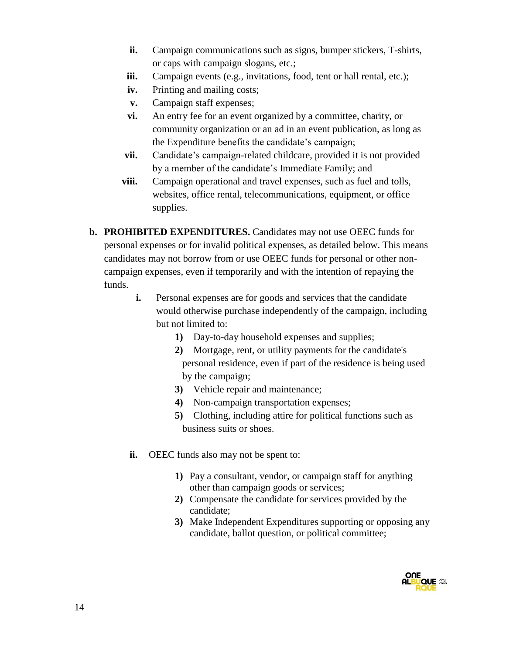- **ii.** Campaign communications such as signs, bumper stickers, T-shirts, or caps with campaign slogans, etc.;
- iii. Campaign events (e.g., invitations, food, tent or hall rental, etc.);
- **iv.** Printing and mailing costs;
- **v.** Campaign staff expenses;
- **vi.** An entry fee for an event organized by a committee, charity, or community organization or an ad in an event publication, as long as the Expenditure benefits the candidate's campaign;
- **vii.** Candidate's campaign-related childcare, provided it is not provided by a member of the candidate's Immediate Family; and
- **viii.** Campaign operational and travel expenses, such as fuel and tolls, websites, office rental, telecommunications, equipment, or office supplies.
- **b. PROHIBITED EXPENDITURES.** Candidates may not use OEEC funds for personal expenses or for invalid political expenses, as detailed below. This means candidates may not borrow from or use OEEC funds for personal or other noncampaign expenses, even if temporarily and with the intention of repaying the funds.
	- **i.** Personal expenses are for goods and services that the candidate would otherwise purchase independently of the campaign, including but not limited to:
		- **1)** Day-to-day household expenses and supplies;
		- **2)** Mortgage, rent, or utility payments for the candidate's personal residence, even if part of the residence is being used by the campaign;
		- **3)** Vehicle repair and maintenance;
		- **4)** Non-campaign transportation expenses;
		- **5)** Clothing, including attire for political functions such as business suits or shoes.
	- **ii.** OEEC funds also may not be spent to:
		- **1)** Pay a consultant, vendor, or campaign staff for anything other than campaign goods or services;
		- **2)** Compensate the candidate for services provided by the candidate;
		- **3)** Make Independent Expenditures supporting or opposing any candidate, ballot question, or political committee;

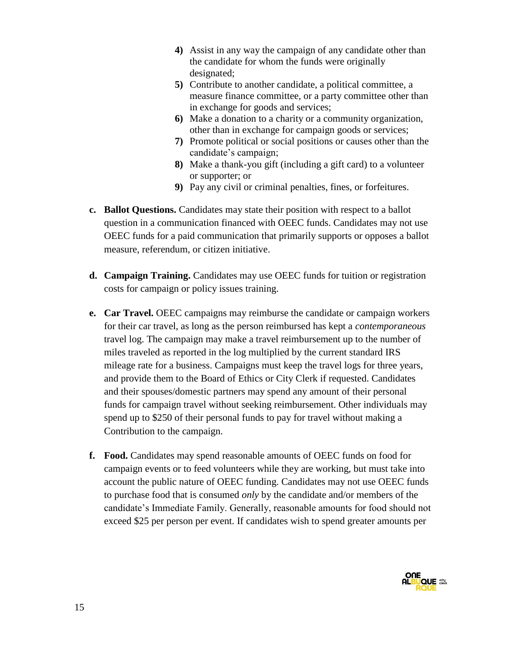- **4)** Assist in any way the campaign of any candidate other than the candidate for whom the funds were originally designated;
- **5)** Contribute to another candidate, a political committee, a measure finance committee, or a party committee other than in exchange for goods and services;
- **6)** Make a donation to a charity or a community organization, other than in exchange for campaign goods or services;
- **7)** Promote political or social positions or causes other than the candidate's campaign;
- **8)** Make a thank-you gift (including a gift card) to a volunteer or supporter; or
- **9)** Pay any civil or criminal penalties, fines, or forfeitures.
- **c. Ballot Questions.** Candidates may state their position with respect to a ballot question in a communication financed with OEEC funds. Candidates may not use OEEC funds for a paid communication that primarily supports or opposes a ballot measure, referendum, or citizen initiative.
- **d. Campaign Training.** Candidates may use OEEC funds for tuition or registration costs for campaign or policy issues training.
- **e. Car Travel.** OEEC campaigns may reimburse the candidate or campaign workers for their car travel, as long as the person reimbursed has kept a *contemporaneous*  travel log. The campaign may make a travel reimbursement up to the number of miles traveled as reported in the log multiplied by the current standard IRS mileage rate for a business. Campaigns must keep the travel logs for three years, and provide them to the Board of Ethics or City Clerk if requested. Candidates and their spouses/domestic partners may spend any amount of their personal funds for campaign travel without seeking reimbursement. Other individuals may spend up to \$250 of their personal funds to pay for travel without making a Contribution to the campaign.
- **f. Food.** Candidates may spend reasonable amounts of OEEC funds on food for campaign events or to feed volunteers while they are working, but must take into account the public nature of OEEC funding. Candidates may not use OEEC funds to purchase food that is consumed *only* by the candidate and/or members of the candidate's Immediate Family. Generally, reasonable amounts for food should not exceed \$25 per person per event. If candidates wish to spend greater amounts per

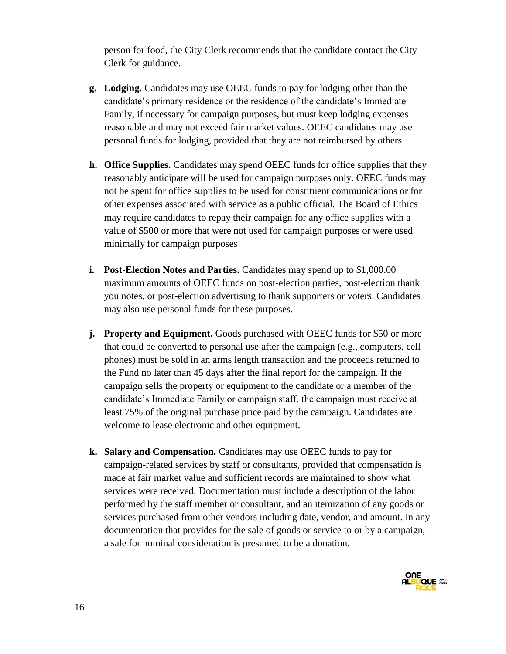person for food, the City Clerk recommends that the candidate contact the City Clerk for guidance.

- **g. Lodging.** Candidates may use OEEC funds to pay for lodging other than the candidate's primary residence or the residence of the candidate's Immediate Family, if necessary for campaign purposes, but must keep lodging expenses reasonable and may not exceed fair market values. OEEC candidates may use personal funds for lodging, provided that they are not reimbursed by others.
- **h. Office Supplies.** Candidates may spend OEEC funds for office supplies that they reasonably anticipate will be used for campaign purposes only. OEEC funds may not be spent for office supplies to be used for constituent communications or for other expenses associated with service as a public official. The Board of Ethics may require candidates to repay their campaign for any office supplies with a value of \$500 or more that were not used for campaign purposes or were used minimally for campaign purposes
- **i. Post-Election Notes and Parties.** Candidates may spend up to \$1,000.00 maximum amounts of OEEC funds on post-election parties, post-election thank you notes, or post-election advertising to thank supporters or voters. Candidates may also use personal funds for these purposes.
- **j. Property and Equipment.** Goods purchased with OEEC funds for \$50 or more that could be converted to personal use after the campaign (e.g., computers, cell phones) must be sold in an arms length transaction and the proceeds returned to the Fund no later than 45 days after the final report for the campaign. If the campaign sells the property or equipment to the candidate or a member of the candidate's Immediate Family or campaign staff, the campaign must receive at least 75% of the original purchase price paid by the campaign. Candidates are welcome to lease electronic and other equipment.
- **k. Salary and Compensation.** Candidates may use OEEC funds to pay for campaign-related services by staff or consultants, provided that compensation is made at fair market value and sufficient records are maintained to show what services were received. Documentation must include a description of the labor performed by the staff member or consultant, and an itemization of any goods or services purchased from other vendors including date, vendor, and amount. In any documentation that provides for the sale of goods or service to or by a campaign, a sale for nominal consideration is presumed to be a donation.

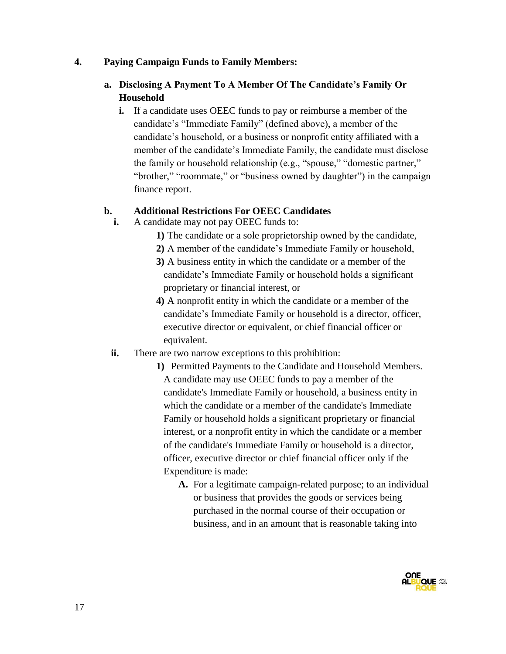#### **4. Paying Campaign Funds to Family Members:**

### **a. Disclosing A Payment To A Member Of The Candidate's Family Or Household**

**i.** If a candidate uses OEEC funds to pay or reimburse a member of the candidate's "Immediate Family" (defined above), a member of the candidate's household, or a business or nonprofit entity affiliated with a member of the candidate's Immediate Family, the candidate must disclose the family or household relationship (e.g., "spouse," "domestic partner," "brother," "roommate," or "business owned by daughter") in the campaign finance report.

#### **b. Additional Restrictions For OEEC Candidates**

- **i.** A candidate may not pay OEEC funds to:
	- **1)** The candidate or a sole proprietorship owned by the candidate,
	- **2)** A member of the candidate's Immediate Family or household,
	- **3)** A business entity in which the candidate or a member of the candidate's Immediate Family or household holds a significant proprietary or financial interest, or
	- **4)** A nonprofit entity in which the candidate or a member of the candidate's Immediate Family or household is a director, officer, executive director or equivalent, or chief financial officer or equivalent.
- **ii.** There are two narrow exceptions to this prohibition:
	- **1)** Permitted Payments to the Candidate and Household Members. A candidate may use OEEC funds to pay a member of the candidate's Immediate Family or household, a business entity in which the candidate or a member of the candidate's Immediate Family or household holds a significant proprietary or financial interest, or a nonprofit entity in which the candidate or a member of the candidate's Immediate Family or household is a director, officer, executive director or chief financial officer only if the Expenditure is made:
		- **A.** For a legitimate campaign-related purpose; to an individual or business that provides the goods or services being purchased in the normal course of their occupation or business, and in an amount that is reasonable taking into

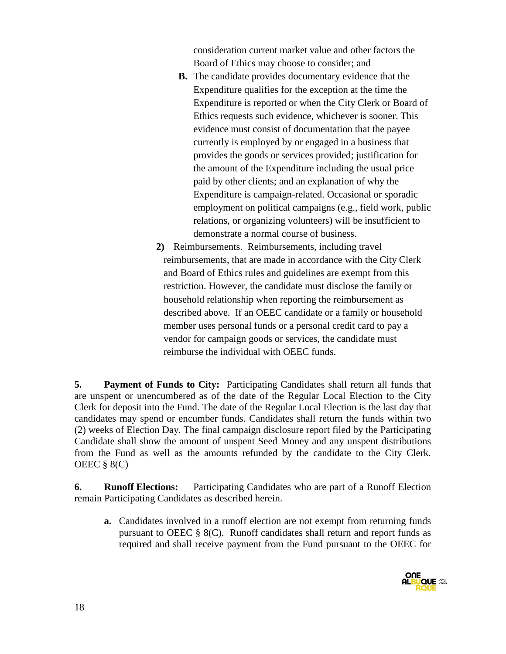consideration current market value and other factors the Board of Ethics may choose to consider; and

- **B.** The candidate provides documentary evidence that the Expenditure qualifies for the exception at the time the Expenditure is reported or when the City Clerk or Board of Ethics requests such evidence, whichever is sooner. This evidence must consist of documentation that the payee currently is employed by or engaged in a business that provides the goods or services provided; justification for the amount of the Expenditure including the usual price paid by other clients; and an explanation of why the Expenditure is campaign-related. Occasional or sporadic employment on political campaigns (e.g., field work, public relations, or organizing volunteers) will be insufficient to demonstrate a normal course of business.
- **2)** Reimbursements. Reimbursements, including travel reimbursements, that are made in accordance with the City Clerk and Board of Ethics rules and guidelines are exempt from this restriction. However, the candidate must disclose the family or household relationship when reporting the reimbursement as described above. If an OEEC candidate or a family or household member uses personal funds or a personal credit card to pay a vendor for campaign goods or services, the candidate must reimburse the individual with OEEC funds.

**5. Payment of Funds to City:** Participating Candidates shall return all funds that are unspent or unencumbered as of the date of the Regular Local Election to the City Clerk for deposit into the Fund. The date of the Regular Local Election is the last day that candidates may spend or encumber funds. Candidates shall return the funds within two (2) weeks of Election Day. The final campaign disclosure report filed by the Participating Candidate shall show the amount of unspent Seed Money and any unspent distributions from the Fund as well as the amounts refunded by the candidate to the City Clerk. OEEC  $\S 8(C)$ 

**6. Runoff Elections:** Participating Candidates who are part of a Runoff Election remain Participating Candidates as described herein.

**a.** Candidates involved in a runoff election are not exempt from returning funds pursuant to OEEC § 8(C). Runoff candidates shall return and report funds as required and shall receive payment from the Fund pursuant to the OEEC for

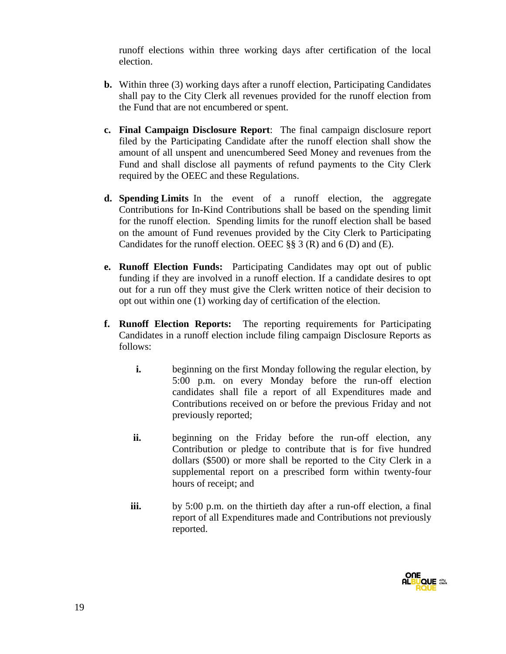runoff elections within three working days after certification of the local election.

- **b.** Within three (3) working days after a runoff election, Participating Candidates shall pay to the City Clerk all revenues provided for the runoff election from the Fund that are not encumbered or spent.
- **c. Final Campaign Disclosure Report**: The final campaign disclosure report filed by the Participating Candidate after the runoff election shall show the amount of all unspent and unencumbered Seed Money and revenues from the Fund and shall disclose all payments of refund payments to the City Clerk required by the OEEC and these Regulations.
- **d. Spending Limits** In the event of a runoff election, the aggregate Contributions for In-Kind Contributions shall be based on the spending limit for the runoff election. Spending limits for the runoff election shall be based on the amount of Fund revenues provided by the City Clerk to Participating Candidates for the runoff election. OEEC  $\S$ § 3 (R) and 6 (D) and (E).
- **e. Runoff Election Funds:** Participating Candidates may opt out of public funding if they are involved in a runoff election. If a candidate desires to opt out for a run off they must give the Clerk written notice of their decision to opt out within one (1) working day of certification of the election.
- **f. Runoff Election Reports:** The reporting requirements for Participating Candidates in a runoff election include filing campaign Disclosure Reports as follows:
	- **i.** beginning on the first Monday following the regular election, by 5:00 p.m. on every Monday before the run-off election candidates shall file a report of all Expenditures made and Contributions received on or before the previous Friday and not previously reported;
	- **ii.** beginning on the Friday before the run-off election, any Contribution or pledge to contribute that is for five hundred dollars (\$500) or more shall be reported to the City Clerk in a supplemental report on a prescribed form within twenty-four hours of receipt; and
	- **iii.** by 5:00 p.m. on the thirtieth day after a run-off election, a final report of all Expenditures made and Contributions not previously reported.

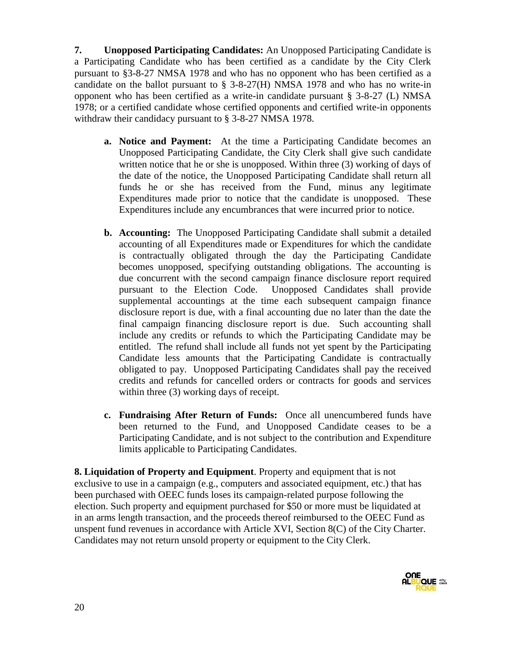**7. Unopposed Participating Candidates:** An Unopposed Participating Candidate is a Participating Candidate who has been certified as a candidate by the City Clerk pursuant to §3-8-27 NMSA 1978 and who has no opponent who has been certified as a candidate on the ballot pursuant to  $\S$  3-8-27(H) NMSA 1978 and who has no write-in opponent who has been certified as a write-in candidate pursuant § 3-8-27 (L) NMSA 1978; or a certified candidate whose certified opponents and certified write-in opponents withdraw their candidacy pursuant to § 3-8-27 NMSA 1978.

- **a. Notice and Payment:** At the time a Participating Candidate becomes an Unopposed Participating Candidate, the City Clerk shall give such candidate written notice that he or she is unopposed. Within three (3) working of days of the date of the notice, the Unopposed Participating Candidate shall return all funds he or she has received from the Fund, minus any legitimate Expenditures made prior to notice that the candidate is unopposed. These Expenditures include any encumbrances that were incurred prior to notice.
- **b. Accounting:** The Unopposed Participating Candidate shall submit a detailed accounting of all Expenditures made or Expenditures for which the candidate is contractually obligated through the day the Participating Candidate becomes unopposed, specifying outstanding obligations. The accounting is due concurrent with the second campaign finance disclosure report required pursuant to the Election Code. Unopposed Candidates shall provide supplemental accountings at the time each subsequent campaign finance disclosure report is due, with a final accounting due no later than the date the final campaign financing disclosure report is due. Such accounting shall include any credits or refunds to which the Participating Candidate may be entitled. The refund shall include all funds not yet spent by the Participating Candidate less amounts that the Participating Candidate is contractually obligated to pay. Unopposed Participating Candidates shall pay the received credits and refunds for cancelled orders or contracts for goods and services within three (3) working days of receipt.
- **c. Fundraising After Return of Funds:** Once all unencumbered funds have been returned to the Fund, and Unopposed Candidate ceases to be a Participating Candidate, and is not subject to the contribution and Expenditure limits applicable to Participating Candidates.

**8. Liquidation of Property and Equipment**. Property and equipment that is not exclusive to use in a campaign (e.g., computers and associated equipment, etc.) that has been purchased with OEEC funds loses its campaign-related purpose following the election. Such property and equipment purchased for \$50 or more must be liquidated at in an arms length transaction, and the proceeds thereof reimbursed to the OEEC Fund as unspent fund revenues in accordance with Article XVI, Section 8(C) of the City Charter. Candidates may not return unsold property or equipment to the City Clerk.

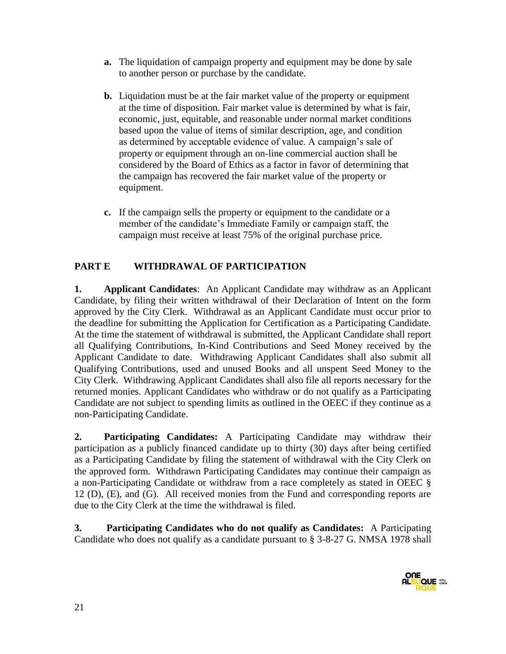- **a.** The liquidation of campaign property and equipment may be done by sale to another person or purchase by the candidate.
- **b.** Liquidation must be at the fair market value of the property or equipment at the time of disposition. Fair market value is determined by what is fair, economic, just, equitable, and reasonable under normal market conditions based upon the value of items of similar description, age, and condition as determined by acceptable evidence of value. A campaign's sale of property or equipment through an on-line commercial auction shall be considered by the Board of Ethics as a factor in favor of determining that the campaign has recovered the fair market value of the property or equipment.
- **c.** If the campaign sells the property or equipment to the candidate or a member of the candidate's Immediate Family or campaign staff, the campaign must receive at least 75% of the original purchase price.

# **PART E WITHDRAWAL OF PARTICIPATION**

**1. Applicant Candidates**: An Applicant Candidate may withdraw as an Applicant Candidate, by filing their written withdrawal of their Declaration of Intent on the form approved by the City Clerk. Withdrawal as an Applicant Candidate must occur prior to the deadline for submitting the Application for Certification as a Participating Candidate. At the time the statement of withdrawal is submitted, the Applicant Candidate shall report all Qualifying Contributions, In-Kind Contributions and Seed Money received by the Applicant Candidate to date. Withdrawing Applicant Candidates shall also submit all Qualifying Contributions, used and unused Books and all unspent Seed Money to the City Clerk. Withdrawing Applicant Candidates shall also file all reports necessary for the returned monies. Applicant Candidates who withdraw or do not qualify as a Participating Candidate are not subject to spending limits as outlined in the OEEC if they continue as a non-Participating Candidate.

**2. Participating Candidates:** A Participating Candidate may withdraw their participation as a publicly financed candidate up to thirty (30) days after being certified as a Participating Candidate by filing the statement of withdrawal with the City Clerk on the approved form. Withdrawn Participating Candidates may continue their campaign as a non-Participating Candidate or withdraw from a race completely as stated in OEEC § 12 (D), (E), and (G). All received monies from the Fund and corresponding reports are due to the City Clerk at the time the withdrawal is filed.

**3. Participating Candidates who do not qualify as Candidates:** A Participating Candidate who does not qualify as a candidate pursuant to § 3-8-27 G. NMSA 1978 shall